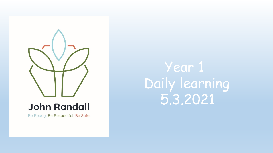

### **John Randall**

Be Ready, Be Respectful, Be Safe

Year 1 Daily learning 5.3.2021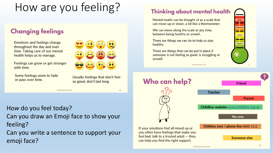# How are you feeling?

#### **Changing feelings**

**Emotions and feelings change** throughout the day and over time. Taking care of our mental health helps us to manage.

Feelings can grow or get stronger with time.

Some feelings seem to fade or pass over time.



Usually feelings that don't feel so good, don't last long.

13

#### Ho*w* do you feel today? Can you draw an Emoji face to show your feeling?

C PSHE Association 2020

Can you write a sentence to support your emoji face?

#### **Thinking about mental health**

Mental health can be thought of as a scale that can move up or down, a bit like a thermometer.

We can move along the scale at any time, between being healthy or unwell.

There are things we can do to help us stay healthy.

There are things that can be put in place if someone is not feeling so good, is struggling or unwell.

C PSHE Association 2020



UNWELL -1-

TRUCCLINO

--

COPING

**HEALTHY**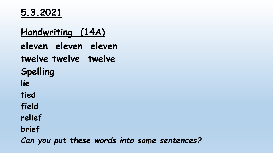**5.3.2021**

## **Handwriting (14A) eleven eleven eleven twelve twelve twelve Spelling lie tied field relief brief**

*Can you put these words into some sentences?*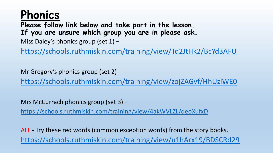## **Phonics**

**Please follow link below and take part in the lesson. If you are unsure which group you are in please ask.**

Miss Daley's phonics group (set  $1$ ) –

<https://schools.ruthmiskin.com/training/view/Td2JtHk2/BcYd3AFU>

Mr Gregory's phonics group (set 2) – <https://schools.ruthmiskin.com/training/view/zojZAGvf/HhUzlWE0>

Mrs McCurrach phonics group (set 3) –

<https://schools.ruthmiskin.com/training/view/4akWVLZL/qeoXufxD>

ALL - Try these red words (common exception words) from the story books. <https://schools.ruthmiskin.com/training/view/u1hArx19/BDSCRd29>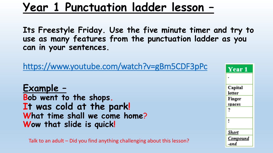## **Year 1 Punctuation ladder lesson –**

**Its Freestyle Friday. Use the five minute timer and try to use as many features from the punctuation ladder as you can in your sentences.**

<https://www.youtube.com/watch?v=gBm5CDF3pPc>

**Example – Bob went to the shops. It was cold at the park! What time shall we come home**? **Wow that slide is quick!**

Talk to an adult – Did you find anything challenging about this lesson?

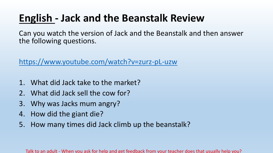## **English - Jack and the Beanstalk Review**

Can you watch the version of Jack and the Beanstalk and then answer the following questions.

<https://www.youtube.com/watch?v=zurz-pL-uzw>

- 1. What did Jack take to the market?
- 2. What did Jack sell the cow for?
- 3. Why was Jacks mum angry?
- 4. How did the giant die?
- 5. How many times did Jack climb up the beanstalk?

Talk to an adult - When you ask for help and get feedback from your teacher does that usually help you?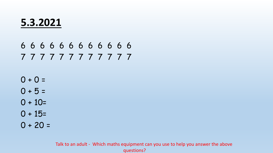#### **5.3.2021**

#### 6 6 6 6 6 6 6 6 6 6 6 6 7 7 7 7 7 7 7 7 7 7 7 7

- $0 + 0 =$
- $0 + 5 =$
- $0 + 10=$
- $0 + 15=$
- $0 + 20 =$

Talk to an adult - Which maths equipment can you use to help you answer the above questions?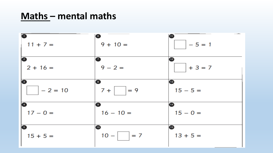#### **Maths – mental maths**

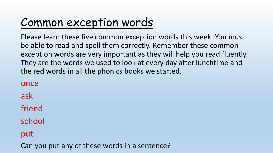# Common exception words

Please learn these five common exception words this week. You must be able to read and spell them correctly. Remember these common exception words are very important as they will help you read fluently. They are the words we used to look at every day after lunchtime and the red words in all the phonics books we started.

once

ask

friend

school

put

Can you put any of these words in a sentence?